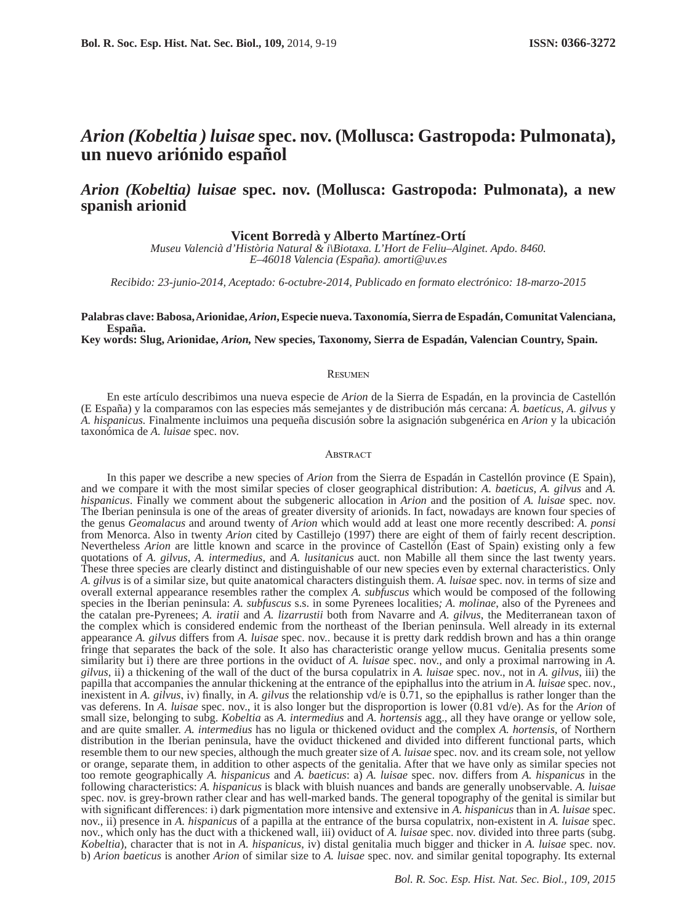# *Arion (Kobeltia ) luisae* **spec. nov. (Mollusca: Gastropoda: Pulmonata), un nuevo ariónido español**

## *Arion (Kobeltia) luisae* **spec. nov. (Mollusca: Gastropoda: Pulmonata), a new spanish arionid**

### **Vicent Borredà y Alberto Martínez-Ortí**

*Museu Valencià d'Història Natural & i\Biotaxa. L'Hort de Feliu–Alginet. Apdo. 8460. E–46018 Valencia (España). amorti@uv.es*

*Recibido: 23-junio-2014, Aceptado: 6-octubre-2014, Publicado en formato electrónico: 18-marzo-2015*

### **Palabras clave: Babosa, Arionidae,** *Arion***, Especie nueva. Taxonomía, Sierra de Espadán, Comunitat Valenciana, España.**

**Key words: Slug, Arionidae,** *Arion,* **New species, Taxonomy, Sierra de Espadán, Valencian Country, Spain.**

#### **RESUMEN**

En este artículo describimos una nueva especie de *Arion* de la Sierra de Espadán, en la provincia de Castellón (E España) y la comparamos con las especies más semejantes y de distribución más cercana: *A. baeticus, A. gilvus* y *A. hispanicus.* Finalmente incluimos una pequeña discusión sobre la asignación subgenérica en *Arion* y la ubicación taxonómica de *A. luisae* spec. nov.

#### **ABSTRACT**

In this paper we describe a new species of *Arion* from the Sierra de Espadán in Castellón province (E Spain), and we compare it with the most similar species of closer geographical distribution: *A. baeticus, A. gilvus* and *A. hispanicus*. Finally we comment about the subgeneric allocation in *Arion* and the position of *A. luisae* spec. nov. The Iberian peninsula is one of the areas of greater diversity of arionids. In fact, nowadays are known four species of the genus *Geomalacus* and around twenty of *Arion* which would add at least one more recently described: *A. ponsi*  from Menorca. Also in twenty *Arion* cited by Castillejo (1997) there are eight of them of fairly recent description. Nevertheless *Arion* are little known and scarce in the province of Castellón (East of Spain) existing only a few quotations of *A. gilvus*, *A. intermedius*, and *A. lusitanicus* auct. non Mabille all them since the last twenty years. These three species are clearly distinct and distinguishable of our new species even by external characteristics. Only *A. gilvus* is of a similar size, but quite anatomical characters distinguish them. *A. luisae* spec. nov. in terms of size and overall external appearance resembles rather the complex *A. subfuscus* which would be composed of the following species in the Iberian peninsula: *A. subfuscus* s.s. in some Pyrenees localities*; A. molinae*, also of the Pyrenees and the catalan pre-Pyrenees; *A. iratii* and *A. lizarrustii* both from Navarre and *A. gilvus*, the Mediterranean taxon of the complex which is considered endemic from the northeast of the Iberian peninsula. Well already in its external appearance *A. gilvus* differs from *A. luisae* spec. nov.. because it is pretty dark reddish brown and has a thin orange fringe that separates the back of the sole. It also has characteristic orange yellow mucus. Genitalia presents some similarity but i) there are three portions in the oviduct of *A. luisae* spec. nov., and only a proximal narrowing in *A. gilvus*, ii) a thickening of the wall of the duct of the bursa copulatrix in *A. luisae* spec. nov., not in *A. gilvus*, iii) the papilla that accompanies the annular thickening at the entrance of the epiphallus into the atrium in *A. luisae* spec. nov., inexistent in *A. gilvus*, iv) finally, in *A. gilvus* the relationship vd/e is 0.71, so the epiphallus is rather longer than the vas deferens. In *A. luisae* spec. nov., it is also longer but the disproportion is lower (0.81 vd/e). As for the *Arion* of small size, belonging to subg. *Kobeltia* as *A. intermedius* and *A. hortensis* agg., all they have orange or yellow sole, and are quite smaller. *A. intermedius* has no ligula or thickened oviduct and the complex *A. hortensis*, of Northern distribution in the Iberian peninsula, have the oviduct thickened and divided into different functional parts, which resemble them to our new species, although the much greater size of *A. luisae* spec. nov. and its cream sole, not yellow or orange, separate them, in addition to other aspects of the genitalia. After that we have only as similar species not too remote geographically *A. hispanicus* and *A. baeticus*: a) *A. luisae* spec. nov. differs from *A. hispanicus* in the following characteristics: *A. hispanicus* is black with bluish nuances and bands are generally unobservable. *A. luisae*  spec. nov. is grey-brown rather clear and has well-marked bands. The general topography of the genital is similar but with significant differences: i) dark pigmentation more intensive and extensive in *A. hispanicus* than in *A. luisae* spec. nov., ii) presence in *A. hispanicus* of a papilla at the entrance of the bursa copulatrix, non-existent in *A. luisae* spec. nov., which only has the duct with a thickened wall, iii) oviduct of *A. luisae* spec. nov. divided into three parts (subg. *Kobeltia*), character that is not in *A. hispanicus*, iv) distal genitalia much bigger and thicker in *A. luisae* spec. nov. b) *Arion baeticus* is another *Arion* of similar size to *A. luisae* spec. nov. and similar genital topography. Its external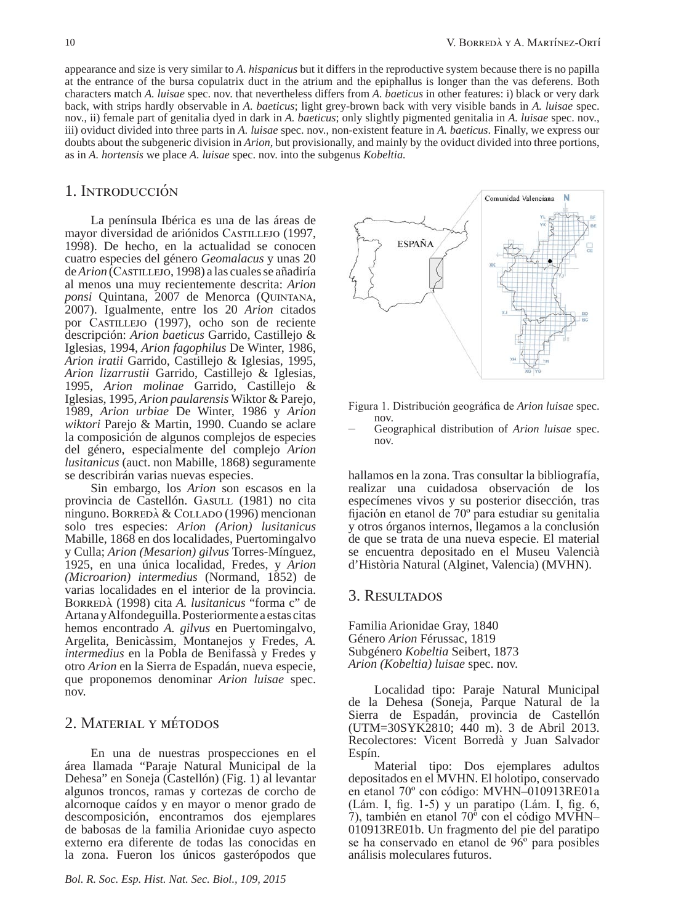appearance and size is very similar to *A. hispanicus* but it differs in the reproductive system because there is no papilla at the entrance of the bursa copulatrix duct in the atrium and the epiphallus is longer than the vas deferens. Both characters match *A. luisae* spec. nov. that nevertheless differs from *A. baeticus* in other features: i) black or very dark back, with strips hardly observable in *A. baeticus*; light grey-brown back with very visible bands in *A. luisae* spec. nov., ii) female part of genitalia dyed in dark in *A. baeticus*; only slightly pigmented genitalia in *A. luisae* spec. nov., iii) oviduct divided into three parts in *A. luisae* spec. nov., non-existent feature in *A. baeticus*. Finally, we express our doubts about the subgeneric division in *Arion,* but provisionally, and mainly by the oviduct divided into three portions, as in *A. hortensis* we place *A. luisae* spec. nov. into the subgenus *Kobeltia.*

## 1. Introducción

La península Ibérica es una de las áreas de mayor diversidad de ariónidos Castillejo (1997, 1998). De hecho, en la actualidad se conocen cuatro especies del género *Geomalacus* y unas 20 de *Arion* (Castillejo, 1998) a las cuales se añadiría al menos una muy recientemente descrita: *Arion ponsi* Quintana, 2007 de Menorca (Quintana, 2007). Igualmente, entre los 20 *Arion* citados por Castillejo (1997), ocho son de reciente descripción: *Arion baeticus* Garrido, Castillejo & Iglesias, 1994, *Arion fagophilus* De Winter, 1986, *Arion iratii* Garrido, Castillejo & Iglesias, 1995, *Arion lizarrustii* Garrido, Castillejo & Iglesias, 1995, *Arion molinae* Garrido, Castillejo & Iglesias, 1995, *Arion paularensis* Wiktor & Parejo, 1989, *Arion urbiae* De Winter, 1986 y *Arion wiktori* Parejo & Martin, 1990. Cuando se aclare la composición de algunos complejos de especies del género, especialmente del complejo *Arion lusitanicus* (auct. non Mabille, 1868) seguramente se describirán varias nuevas especies.

Sin embargo, los *Arion* son escasos en la provincia de Castellón. Gasulle (1981) no cita ninguno. Borredà & Collado (1996) mencionan solo tres especies: *Arion (Arion) lusitanicus*  Mabille, 1868 en dos localidades, Puertomingalvo y Culla; *Arion (Mesarion) gilvus* Torres-Mínguez, 1925, en una única localidad, Fredes, y *Arion (Microarion) intermedius* (Normand, 1852) de varias localidades en el interior de la provincia. Borredà (1998) cita *A. lusitanicus* "forma c" de Artana y Alfondeguilla. Posteriormente a estas citas hemos encontrado *A. gilvus* en Puertomingalvo, Argelita, Benicàssim, Montanejos y Fredes, *A. intermedius* en la Pobla de Benifassà y Fredes y otro *Arion* en la Sierra de Espadán, nueva especie, que proponemos denominar *Arion luisae* spec. nov.

## 2. Material y métodos

En una de nuestras prospecciones en el área llamada "Paraje Natural Municipal de la Dehesa" en Soneja (Castellón) (Fig. 1) al levantar algunos troncos, ramas y cortezas de corcho de alcornoque caídos y en mayor o menor grado de descomposición, encontramos dos ejemplares de babosas de la familia Arionidae cuyo aspecto externo era diferente de todas las conocidas en la zona. Fueron los únicos gasterópodos que



Figura 1. Distribución geográfica de *Arion luisae* spec.

nov. – Geographical distribution of *Arion luisae* spec. nov.

hallamos en la zona. Tras consultar la bibliografía, realizar una cuidadosa observación de los especímenes vivos y su posterior disección, tras fijación en etanol de 70º para estudiar su genitalia y otros órganos internos, llegamos a la conclusión de que se trata de una nueva especie. El material se encuentra depositado en el Museu Valencià d'Història Natural (Alginet, Valencia) (MVHN).

### 3. Resultados

Familia Arionidae Gray, 1840 Género *Arion* Férussac, 1819 Subgénero *Kobeltia* Seibert, 1873 *Arion (Kobeltia) luisae* spec. nov.

Localidad tipo: Paraje Natural Municipal de la Dehesa (Soneja, Parque Natural de la Sierra de Espadán, provincia de Castellón (UTM=30SYK2810; 440 m). 3 de Abril 2013. Recolectores: Vicent Borredà y Juan Salvador Espín.

Material tipo: Dos ejemplares adultos depositados en el MVHN. El holotipo, conservado en etanol 70º con código: MVHN–010913RE01a (Lám. I, fig. 1-5) y un paratipo (Lám. I, fig. 6, 7), también en etanol 70º con el código MVHN– 010913RE01b. Un fragmento del pie del paratipo se ha conservado en etanol de 96º para posibles análisis moleculares futuros.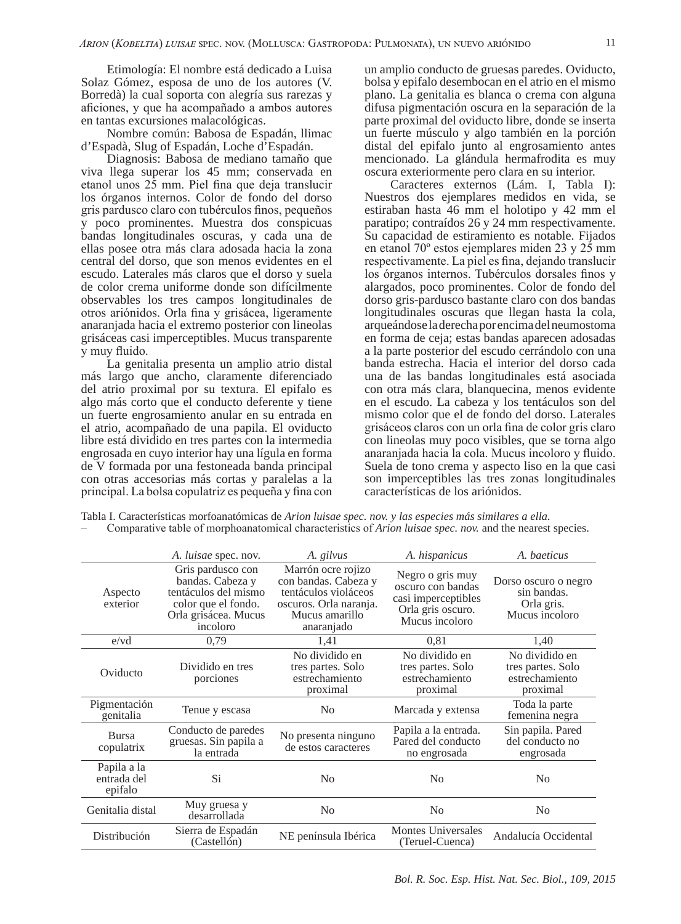Etimología: El nombre está dedicado a Luisa Solaz Gómez, esposa de uno de los autores (V. Borredà) la cual soporta con alegría sus rarezas y aficiones, y que ha acompañado a ambos autores en tantas excursiones malacológicas.

Nombre común: Babosa de Espadán, llimac d'Espadà, Slug of Espadán, Loche d'Espadán.

Diagnosis: Babosa de mediano tamaño que viva llega superar los 45 mm; conservada en etanol unos 25 mm. Piel fina que deja translucir los órganos internos. Color de fondo del dorso gris pardusco claro con tubérculos finos, pequeños y poco prominentes. Muestra dos conspicuas bandas longitudinales oscuras, y cada una de ellas posee otra más clara adosada hacia la zona central del dorso, que son menos evidentes en el escudo. Laterales más claros que el dorso y suela de color crema uniforme donde son difícilmente observables los tres campos longitudinales de otros ariónidos. Orla fina y grisácea, ligeramente anaranjada hacia el extremo posterior con lineolas grisáceas casi imperceptibles. Mucus transparente y muy fluido.

La genitalia presenta un amplio atrio distal más largo que ancho, claramente diferenciado del atrio proximal por su textura. El epifalo es algo más corto que el conducto deferente y tiene un fuerte engrosamiento anular en su entrada en el atrio, acompañado de una papila. El oviducto libre está dividido en tres partes con la intermedia engrosada en cuyo interior hay una lígula en forma de V formada por una festoneada banda principal con otras accesorias más cortas y paralelas a la principal. La bolsa copulatriz es pequeña y fina con

un amplio conducto de gruesas paredes. Oviducto, bolsa y epifalo desembocan en el atrio en el mismo plano. La genitalia es blanca o crema con alguna difusa pigmentación oscura en la separación de la parte proximal del oviducto libre, donde se inserta un fuerte músculo y algo también en la porción distal del epifalo junto al engrosamiento antes mencionado. La glándula hermafrodita es muy oscura exteriormente pero clara en su interior.

Caracteres externos (Lám. I, Tabla I): Nuestros dos ejemplares medidos en vida, se estiraban hasta 46 mm el holotipo y 42 mm el paratipo; contraídos 26 y 24 mm respectivamente. Su capacidad de estiramiento es notable. Fijados en etanol 70º estos ejemplares miden 23 y 25 mm respectivamente. La piel es fina, dejando translucir los órganos internos. Tubérculos dorsales finos y alargados, poco prominentes. Color de fondo del dorso gris-pardusco bastante claro con dos bandas longitudinales oscuras que llegan hasta la cola, arqueándose la derecha por encima del neumostoma en forma de ceja; estas bandas aparecen adosadas a la parte posterior del escudo cerrándolo con una banda estrecha. Hacia el interior del dorso cada una de las bandas longitudinales está asociada con otra más clara, blanquecina, menos evidente en el escudo. La cabeza y los tentáculos son del mismo color que el de fondo del dorso. Laterales grisáceos claros con un orla fina de color gris claro con lineolas muy poco visibles, que se torna algo anaranjada hacia la cola. Mucus incoloro y fluido. Suela de tono crema y aspecto liso en la que casi son imperceptibles las tres zonas longitudinales características de los ariónidos.

|                                       | A. luisae spec. nov.                                                                                                     | A. gilvus                                                                                                                    | A. hispanicus                                                                                       | A. baeticus                                                         |
|---------------------------------------|--------------------------------------------------------------------------------------------------------------------------|------------------------------------------------------------------------------------------------------------------------------|-----------------------------------------------------------------------------------------------------|---------------------------------------------------------------------|
| Aspecto<br>exterior                   | Gris pardusco con<br>bandas. Cabeza y<br>tentáculos del mismo<br>color que el fondo.<br>Orla grisácea. Mucus<br>incoloro | Marrón ocre rojizo<br>con bandas. Cabeza y<br>tentáculos violáceos<br>oscuros. Orla naranja.<br>Mucus amarillo<br>anaranjado | Negro o gris muy<br>oscuro con bandas<br>casi imperceptibles<br>Orla gris oscuro.<br>Mucus incoloro | Dorso oscuro o negro<br>sin bandas.<br>Orla gris.<br>Mucus incoloro |
| e/vd                                  | 0.79                                                                                                                     | 1,41                                                                                                                         | 0.81                                                                                                | 1,40                                                                |
| Oviducto                              | Dividido en tres<br>porciones                                                                                            | No dividido en<br>tres partes. Solo<br>estrechamiento<br>proximal                                                            | No dividido en<br>tres partes. Solo<br>estrechamiento<br>proximal                                   | No dividido en<br>tres partes. Solo<br>estrechamiento<br>proximal   |
| Pigmentación<br>genitalia             | Tenue y escasa                                                                                                           | N <sub>0</sub>                                                                                                               | Marcada y extensa                                                                                   | Toda la parte<br>femenina negra                                     |
| <b>Bursa</b><br>copulatrix            | Conducto de paredes<br>gruesas. Sin papila a<br>la entrada                                                               | No presenta ninguno<br>de estos caracteres                                                                                   | Papila a la entrada.<br>Pared del conducto<br>no engrosada                                          | Sin papila. Pared<br>del conducto no<br>engrosada                   |
| Papila a la<br>entrada del<br>epifalo | Si.                                                                                                                      | N <sub>0</sub>                                                                                                               | N <sub>0</sub>                                                                                      | N <sub>0</sub>                                                      |
| Genitalia distal                      | Muy gruesa y<br>desarrollada                                                                                             | N <sub>0</sub>                                                                                                               | N <sub>0</sub>                                                                                      | N <sub>0</sub>                                                      |
| Distribución                          | Sierra de Espadán<br>(Castellón)                                                                                         | NE península Ibérica                                                                                                         | <b>Montes Universales</b><br>(Teruel-Cuenca)                                                        | Andalucía Occidental                                                |

Tabla I. Características morfoanatómicas de *Arion luisae spec. nov. y las especies más similares a ella.* – Comparative table of morphoanatomical characteristics of *Arion luisae spec. nov.* and the nearest species.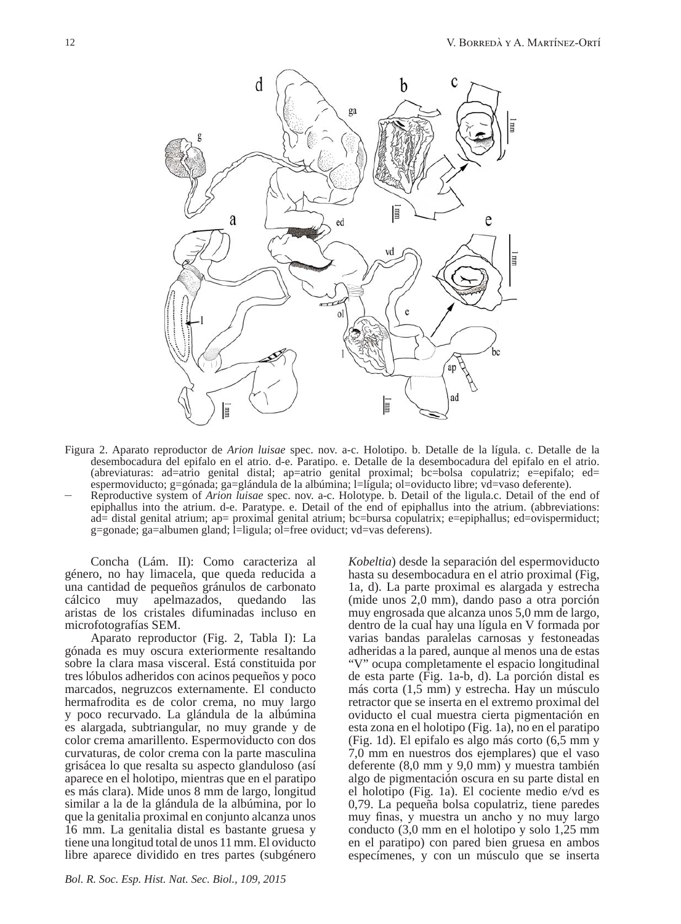

Figura 2. Aparato reproductor de *Arion luisae* spec. nov. a-c. Holotipo. b. Detalle de la lígula. c. Detalle de la desembocadura del epifalo en el atrio. d-e. Paratipo. e. Detalle de la desembocadura del epifalo en el atrio. (abreviaturas: ad=atrio genital distal; ap=atrio genital proximal; bc=bolsa copulatriz; e=epifalo; ed=<br>espermoviducto; g=gónada; ga=glándula de la albúmina; l=lígula; ol=oviducto libre; vd=vaso deferente). Reproductive system of *Arion luisae* spec. nov. a-c. Holotype. b. Detail of the ligula.c. Detail of the end of

epiphallus into the atrium. d-e. Paratype. e. Detail of the end of epiphallus into the atrium. (abbreviations: ad= distal genital atrium; ap= proximal genital atrium; bc=bursa copulatrix; e=epiphallus; ed=ovispermiduct; g=gonade; ga=albumen gland; l=ligula; ol=free oviduct; vd=vas deferens).

Concha (Lám. II): Como caracteriza al género, no hay limacela, que queda reducida a una cantidad de pequeños gránulos de carbonato cálcico muy apelmazados, quedando las aristas de los cristales difuminadas incluso en microfotografías SEM.

Aparato reproductor (Fig. 2, Tabla I): La gónada es muy oscura exteriormente resaltando sobre la clara masa visceral. Está constituida por tres lóbulos adheridos con acinos pequeños y poco marcados, negruzcos externamente. El conducto hermafrodita es de color crema, no muy largo y poco recurvado. La glándula de la albúmina es alargada, subtriangular, no muy grande y de color crema amarillento. Espermoviducto con dos curvaturas, de color crema con la parte masculina grisácea lo que resalta su aspecto glanduloso (así aparece en el holotipo, mientras que en el paratipo es más clara). Mide unos 8 mm de largo, longitud similar a la de la glándula de la albúmina, por lo que la genitalia proximal en conjunto alcanza unos 16 mm. La genitalia distal es bastante gruesa y tiene una longitud total de unos 11 mm. El oviducto libre aparece dividido en tres partes (subgénero *Kobeltia*) desde la separación del espermoviducto hasta su desembocadura en el atrio proximal (Fig, 1a, d). La parte proximal es alargada y estrecha (mide unos 2,0 mm), dando paso a otra porción muy engrosada que alcanza unos 5,0 mm de largo, dentro de la cual hay una lígula en V formada por varias bandas paralelas carnosas y festoneadas adheridas a la pared, aunque al menos una de estas "V" ocupa completamente el espacio longitudinal de esta parte (Fig. 1a-b, d). La porción distal es más corta (1,5 mm) y estrecha. Hay un músculo retractor que se inserta en el extremo proximal del oviducto el cual muestra cierta pigmentación en esta zona en el holotipo (Fig. 1a), no en el paratipo (Fig. 1d). El epifalo es algo más corto (6,5 mm y 7,0 mm en nuestros dos ejemplares) que el vaso deferente (8,0 mm y 9,0 mm) y muestra también algo de pigmentación oscura en su parte distal en el holotipo (Fig. 1a). El cociente medio e/vd es 0,79. La pequeña bolsa copulatriz, tiene paredes muy finas, y muestra un ancho y no muy largo conducto (3,0 mm en el holotipo y solo 1,25 mm en el paratipo) con pared bien gruesa en ambos especímenes, y con un músculo que se inserta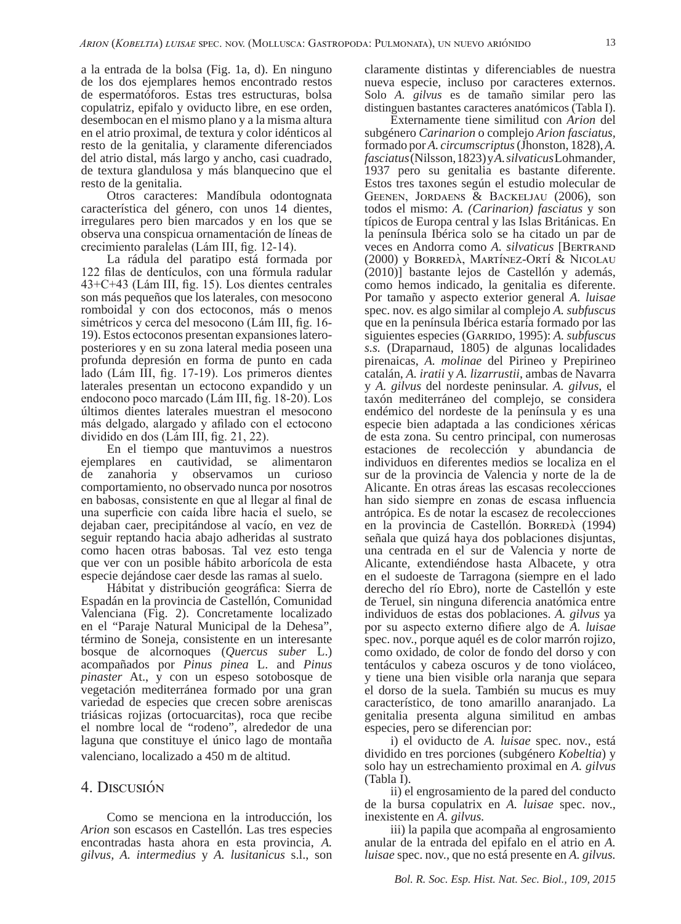a la entrada de la bolsa (Fig. 1a, d). En ninguno de los dos ejemplares hemos encontrado restos de espermatóforos. Estas tres estructuras, bolsa copulatriz, epifalo y oviducto libre, en ese orden, desembocan en el mismo plano y a la misma altura en el atrio proximal, de textura y color idénticos al resto de la genitalia, y claramente diferenciados del atrio distal, más largo y ancho, casi cuadrado, de textura glandulosa y más blanquecino que el resto de la genitalia.

Otros caracteres: Mandíbula odontognata característica del género, con unos 14 dientes, irregulares pero bien marcados y en los que se observa una conspicua ornamentación de líneas de crecimiento paralelas (Lám III, fig. 12-14).

La rádula del paratipo está formada por 122 filas de dentículos, con una fórmula radular 43+C+43 (Lám III, fig. 15). Los dientes centrales son más pequeños que los laterales, con mesocono romboidal y con dos ectoconos, más o menos simétricos y cerca del mesocono (Lám III, fig. 16- 19). Estos ectoconos presentan expansiones lateroposteriores y en su zona lateral media poseen una profunda depresión en forma de punto en cada lado (Lám III, fig. 17-19). Los primeros dientes laterales presentan un ectocono expandido y un endocono poco marcado (Lám III, fig. 18-20). Los últimos dientes laterales muestran el mesocono más delgado, alargado y afilado con el ectocono dividido en dos (Lám III, fig. 21, 22).

En el tiempo que mantuvimos a nuestros ejemplares en cautividad, se alimentaron de zanahoria y observamos un curioso comportamiento, no observado nunca por nosotros en babosas, consistente en que al llegar al final de una superficie con caída libre hacia el suelo, se dejaban caer, precipitándose al vacío, en vez de seguir reptando hacia abajo adheridas al sustrato como hacen otras babosas. Tal vez esto tenga que ver con un posible hábito arborícola de esta especie dejándose caer desde las ramas al suelo.

Hábitat y distribución geográfica: Sierra de Espadán en la provincia de Castellón, Comunidad Valenciana (Fig. 2). Concretamente localizado en el "Paraje Natural Municipal de la Dehesa", término de Soneja, consistente en un interesante bosque de alcornoques (*Quercus suber* L.) acompañados por *Pinus pinea* L. and *Pinus pinaster* At., y con un espeso sotobosque de vegetación mediterránea formado por una gran variedad de especies que crecen sobre areniscas triásicas rojizas (ortocuarcitas), roca que recibe el nombre local de "rodeno", alrededor de una laguna que constituye el único lago de montaña valenciano, localizado a 450 m de altitud.

## 4. Discusión

Como se menciona en la introducción, los *Arion* son escasos en Castellón. Las tres especies encontradas hasta ahora en esta provincia, *A. gilvus, A. intermedius* y *A. lusitanicus* s.l., son claramente distintas y diferenciables de nuestra nueva especie, incluso por caracteres externos. Solo *A. gilvus* es de tamaño similar pero las distinguen bastantes caracteres anatómicos (Tabla I).

Externamente tiene similitud con *Arion* del subgénero *Carinarion* o complejo *Arion fasciatus,*  formado por *A. circumscriptus* (Jhonston, 1828), *A. fasciatus* (Nilsson, 1823) y *A. silvaticus* Lohmander*,*  1937 pero su genitalia es bastante diferente. Estos tres taxones según el estudio molecular de Geenen, Jordaens & Backeljau (2006), son todos el mismo: *A. (Carinarion) fasciatus* y son típicos de Europa central y las Islas Británicas. En la península Ibérica solo se ha citado un par de veces en Andorra como *A. silvaticus* [Bertrand (2000) y Borredà, Martínez-Ortí & Nicolau (2010)] bastante lejos de Castellón y además, como hemos indicado, la genitalia es diferente. Por tamaño y aspecto exterior general *A. luisae*  spec. nov. es algo similar al complejo *A. subfuscus*  que en la península Ibérica estaría formado por las siguientes especies (GARRIDO, 1995): *A. subfuscus s.s.* (Draparnaud, 1805) de algunas localidades pirenaicas, *A. molinae* del Pirineo y Prepirineo catalán, *A. iratii* y *A. lizarrustii*, ambas de Navarra y *A. gilvus* del nordeste peninsular. *A. gilvus*, el taxón mediterráneo del complejo, se considera endémico del nordeste de la península y es una especie bien adaptada a las condiciones xéricas de esta zona. Su centro principal, con numerosas estaciones de recolección y abundancia de individuos en diferentes medios se localiza en el sur de la provincia de Valencia y norte de la de Alicante. En otras áreas las escasas recolecciones han sido siempre en zonas de escasa influencia antrópica. Es de notar la escasez de recolecciones en la provincia de Castellón. Borredà (1994) señala que quizá haya dos poblaciones disjuntas, una centrada en el sur de Valencia y norte de Alicante, extendiéndose hasta Albacete, y otra en el sudoeste de Tarragona (siempre en el lado derecho del río Ebro), norte de Castellón y este de Teruel, sin ninguna diferencia anatómica entre individuos de estas dos poblaciones. *A. gilvus* ya por su aspecto externo difiere algo de *A. luisae*  spec. nov.*,* porque aquél es de color marrón rojizo, como oxidado, de color de fondo del dorso y con tentáculos y cabeza oscuros y de tono violáceo, y tiene una bien visible orla naranja que separa el dorso de la suela. También su mucus es muy característico, de tono amarillo anaranjado. La genitalia presenta alguna similitud en ambas especies, pero se diferencian por:

i) el oviducto de *A. luisae* spec. nov.*,* está dividido en tres porciones (subgénero *Kobeltia*) y solo hay un estrechamiento proximal en *A. gilvus*  (Tabla I).

ii) el engrosamiento de la pared del conducto de la bursa copulatrix en *A. luisae* spec. nov.*,*  inexistente en *A. gilvus.*

iii) la papila que acompaña al engrosamiento anular de la entrada del epifalo en el atrio en *A. luisae* spec. nov.*,* que no está presente en *A. gilvus.*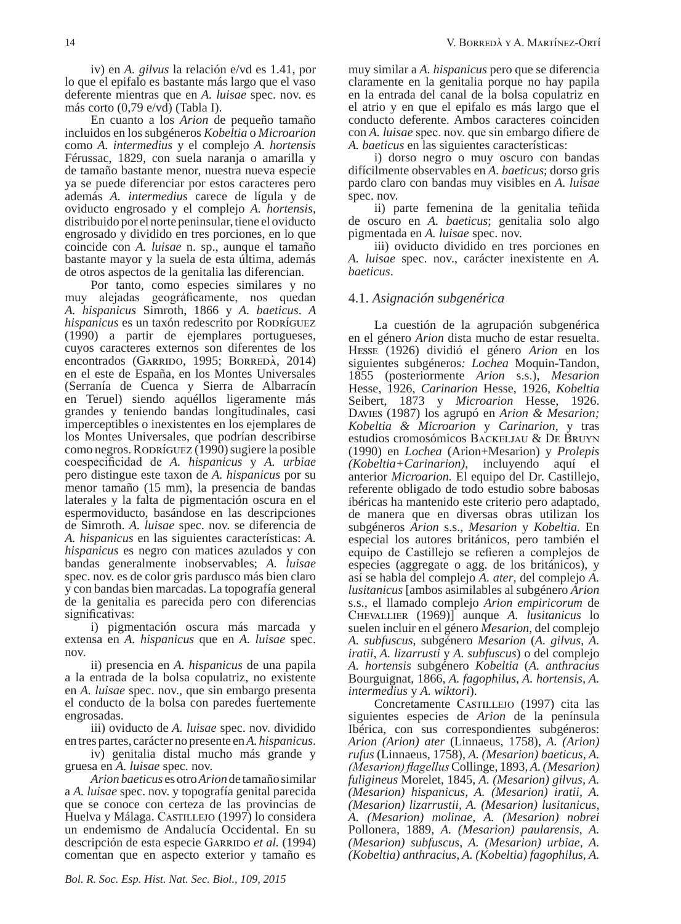iv) en *A. gilvus* la relación e/vd es 1.41, por lo que el epifalo es bastante más largo que el vaso deferente mientras que en *A. luisae* spec. nov. es más corto (0,79 e/vd) (Tabla I).

En cuanto a los *Arion* de pequeño tamaño incluidos en los subgéneros *Kobeltia* o *Microarion*  como *A. intermedius* y el complejo *A. hortensis*  Férussac, 1829*,* con suela naranja o amarilla y de tamaño bastante menor, nuestra nueva especie ya se puede diferenciar por estos caracteres pero además *A. intermedius* carece de lígula y de oviducto engrosado y el complejo *A. hortensis*, distribuido por el norte peninsular, tiene el oviducto engrosado y dividido en tres porciones, en lo que coincide con *A. luisae* n. sp., aunque el tamaño bastante mayor y la suela de esta última, además de otros aspectos de la genitalia las diferencian.

Por tanto, como especies similares y no muy alejadas geográficamente, nos quedan *A. hispanicus* Simroth, 1866 y *A. baeticus*. *A hispanicus* es un taxón redescrito por RODRÍGUEZ (1990) a partir de ejemplares portugueses, cuyos caracteres externos son diferentes de los encontrados (GARRIDO, 1995; BORREDÀ, 2014) en el este de España, en los Montes Universales (Serranía de Cuenca y Sierra de Albarracín en Teruel) siendo aquéllos ligeramente más grandes y teniendo bandas longitudinales, casi imperceptibles o inexistentes en los ejemplares de los Montes Universales, que podrían describirse como negros. RODRÍGUEZ (1990) sugiere la posible coespecificidad de *A. hispanicus* y *A. urbiae*  pero distingue este taxon de *A. hispanicus* por su menor tamaño (15 mm), la presencia de bandas laterales y la falta de pigmentación oscura en el espermoviducto, basándose en las descripciones de Simroth. *A. luisae* spec. nov. se diferencia de *A. hispanicus* en las siguientes características: *A. hispanicus* es negro con matices azulados y con bandas generalmente inobservables; *A. luisae*  spec. nov. es de color gris pardusco más bien claro y con bandas bien marcadas. La topografía general de la genitalia es parecida pero con diferencias significativas:

i) pigmentación oscura más marcada y extensa en *A. hispanicus* que en *A. luisae* spec. nov.

ii) presencia en *A. hispanicus* de una papila a la entrada de la bolsa copulatriz, no existente en *A. luisae* spec. nov., que sin embargo presenta el conducto de la bolsa con paredes fuertemente engrosadas.

iii) oviducto de *A. luisae* spec. nov. dividido en tres partes, carácter no presente en *A. hispanicus*.

iv) genitalia distal mucho más grande y gruesa en *A. luisae* spec. nov.

*Arion baeticus* es otro *Arion* de tamaño similar a *A. luisae* spec. nov. y topografía genital parecida que se conoce con certeza de las provincias de Huelva y Málaga. CASTILLEJO (1997) lo considera un endemismo de Andalucía Occidental. En su descripción de esta especie Garrido *et al.* (1994) comentan que en aspecto exterior y tamaño es

muy similar a *A. hispanicus* pero que se diferencia claramente en la genitalia porque no hay papila en la entrada del canal de la bolsa copulatriz en el atrio y en que el epifalo es más largo que el conducto deferente. Ambos caracteres coinciden con *A. luisae* spec. nov. que sin embargo difiere de *A. baeticus* en las siguientes características:

i) dorso negro o muy oscuro con bandas difícilmente observables en *A. baeticus*; dorso gris pardo claro con bandas muy visibles en *A. luisae*  spec. nov.

ii) parte femenina de la genitalia teñida de oscuro en *A. baeticus*; genitalia solo algo pigmentada en *A. luisae* spec. nov.

iii) oviducto dividido en tres porciones en *A. luisae* spec. nov., carácter inexistente en *A. baeticus*.

### 4.1. *Asignación subgenérica*

La cuestión de la agrupación subgenérica en el género *Arion* dista mucho de estar resuelta. Hesse (1926) dividió el género *Arion* en los siguientes subgéneros*: Lochea* Moquin-Tandon, 1855 (posteriormente *Arion* s.s.), *Mesarion*  Hesse, 1926, *Carinarion* Hesse, 1926, *Kobeltia* Seibert, 1873 y *Microarion* Hesse, 1926. Davies (1987) los agrupó en *Arion & Mesarion; Kobeltia & Microarion* y *Carinarion,* y tras estudios cromosómicos Backeljau & De Bruyn (1990) en *Lochea* (Arion+Mesarion) y *Prolepis (Kobeltia+Carinarion)*, incluyendo aquí el anterior *Microarion.* El equipo del Dr. Castillejo, referente obligado de todo estudio sobre babosas ibéricas ha mantenido este criterio pero adaptado, de manera que en diversas obras utilizan los subgéneros *Arion* s.s., *Mesarion* y *Kobeltia.* En especial los autores británicos, pero también el equipo de Castillejo se refieren a complejos de especies (aggregate o agg. de los británicos), y así se habla del complejo *A. ater*, del complejo *A. lusitanicus* [ambos asimilables al subgénero *Arion*  s.s., el llamado complejo *Arion empiricorum* de Chevallier (1969)] aunque *A. lusitanicus* lo suelen incluir en el género *Mesarion*, del complejo *A. subfuscus,* subgénero *Mesarion* (*A. gilvus, A. iratii, A. lizarrusti* y *A. subfuscus*) o del complejo *A. hortensis* subgénero *Kobeltia* (*A. anthracius*  Bourguignat, 1866, *A. fagophilus, A. hortensis, A. intermedius* y *A. wiktori*).

Concretamente Castillejo (1997) cita las siguientes especies de *Arion* de la península Ibérica, con sus correspondientes subgéneros: *Arion (Arion) ater* (Linnaeus, 1758), *A. (Arion) rufus* (Linnaeus, 1758), *A. (Mesarion) baeticus, A. (Mesarion) flagellus* Collinge, 1893, *A. (Mesarion) fuligineus* Morelet, 1845, *A. (Mesarion) gilvus, A. (Mesarion) hispanicus, A. (Mesarion) iratii, A. (Mesarion) lizarrustii, A. (Mesarion) lusitanicus, A. (Mesarion) molinae, A. (Mesarion) nobrei*  Pollonera, 1889, *A. (Mesarion) paularensis, A. (Mesarion) subfuscus, A. (Mesarion) urbiae, A. (Kobeltia) anthracius, A. (Kobeltia) fagophilus, A.*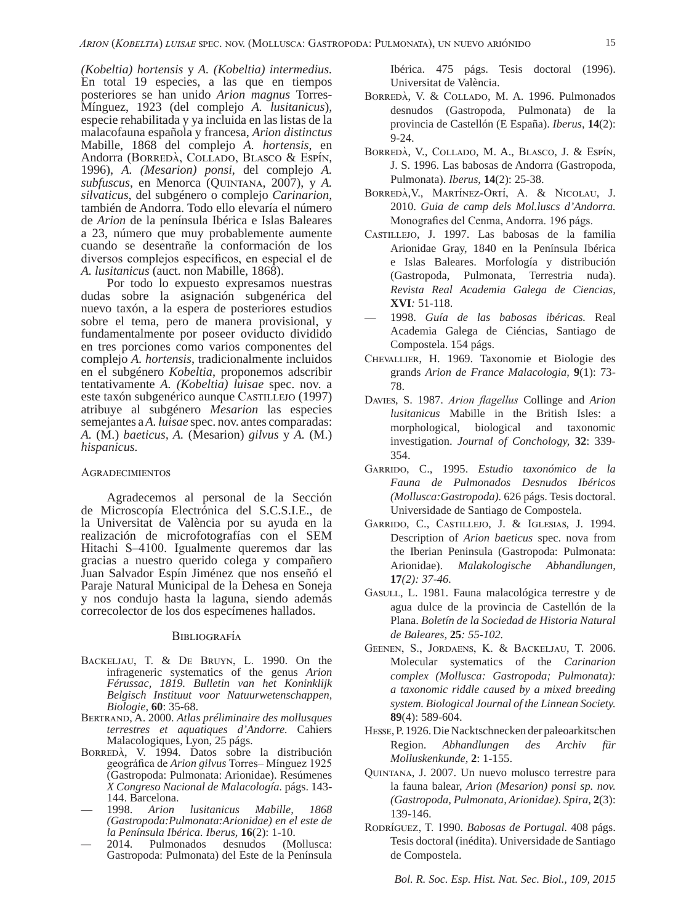*(Kobeltia) hortensis* y *A. (Kobeltia) intermedius.*  En total 19 especies, a las que en tiempos posteriores se han unido *Arion magnus* Torres-Mínguez, 1923 (del complejo *A. lusitanicus*), especie rehabilitada y ya incluida en las listas de la malacofauna española y francesa, *Arion distinctus*  Mabille, 1868 del complejo *A. hortensis*, en Andorra (Borredà, Collado, Blasco & Espín, 1996), *A. (Mesarion) ponsi*, del complejo *A. subfuscus*, en Menorca (Quintana, 2007), y *A. silvaticus*, del subgénero o complejo *Carinarion*, también de Andorra. Todo ello elevaría el número de *Arion* de la península Ibérica e Islas Baleares a 23, número que muy probablemente aumente cuando se desentrañe la conformación de los diversos complejos específicos, en especial el de *A. lusitanicus* (auct. non Mabille, 1868).

Por todo lo expuesto expresamos nuestras dudas sobre la asignación subgenérica del nuevo taxón, a la espera de posteriores estudios sobre el tema, pero de manera provisional, y fundamentalmente por poseer oviducto dividido en tres porciones como varios componentes del complejo *A. hortensis*, tradicionalmente incluidos en el subgénero *Kobeltia*, proponemos adscribir tentativamente *A. (Kobeltia) luisae* spec. nov. a este taxón subgenérico aunque Castillejo (1997) atribuye al subgénero *Mesarion* las especies semejantes a *A. luisae* spec. nov. antes comparadas: *A.* (M.) *baeticus, A.* (Mesarion) *gilvus* y *A.* (M.) *hispanicus.* 

#### **AGRADECIMIENTOS**

Agradecemos al personal de la Sección de Microscopía Electrónica del S.C.S.I.E., de la Universitat de València por su ayuda en la realización de microfotografías con el SEM Hitachi S–4100. Igualmente queremos dar las gracias a nuestro querido colega y compañero Juan Salvador Espín Jiménez que nos enseñó el Paraje Natural Municipal de la Dehesa en Soneja y nos condujo hasta la laguna, siendo además correcolector de los dos especímenes hallados.

#### **BIBLIOGRAFÍA**

- Backeljau, T. & De Bruyn, L. 1990. On the infrageneric systematics of the genus *Arion Férussac, 1819. Bulletin van het Koninklijk Belgisch Instituut voor Natuurwetenschappen, Biologie,* **60**: 35-68.
- Bertrand, A. 2000. *Atlas préliminaire des mollusques terrestres et aquatiques d'Andorre.* Cahiers Malacologiques, Lyon, 25 págs.
- Borredà, V. 1994. Datos sobre la distribución geográfica de *Arion gilvus* Torres– Mínguez 1925 (Gastropoda: Pulmonata: Arionidae). Resúmenes *X Congreso Nacional de Malacología.* págs. 143- 144. Barcelona.
- 1998. *Arion lusitanicus Mabille, 1868 (Gastropoda:Pulmonata:Arionidae) en el este de la Península Ibérica. Iberus,* **16**(2): 1-10.
- *—* 2014. Pulmonados desnudos (Mollusca: Gastropoda: Pulmonata) del Este de la Península

Ibérica. 475 págs. Tesis doctoral (1996). Universitat de València.

- Borredà, V. & Collado, M. A. 1996. Pulmonados desnudos (Gastropoda, Pulmonata) de la provincia de Castellón (E España). *Iberus*, **14**(2): 9-24.
- Borredà, V., Collado, M. A., Blasco, J. & Espín, J. S. 1996. Las babosas de Andorra (Gastropoda, Pulmonata). *Iberus*, **14**(2): 25-38.
- Borredà,V., Martínez-Ortí, A. & Nicolau, J. 2010. *Guia de camp dels Mol.luscs d'Andorra.*  Monografies del Cenma, Andorra. 196 págs.
- Castillejo, J. 1997. Las babosas de la familia Arionidae Gray, 1840 en la Península Ibérica e Islas Baleares. Morfología y distribución (Gastropoda, Pulmonata, Terrestria nuda). *Revista Real Academia Galega de Ciencias,*  **XVI***:* 51-118.
- 1998. *Guía de las babosas ibéricas.* Real Academia Galega de Ciéncias, Santiago de Compostela. 154 págs.
- Chevallier, H. 1969. Taxonomie et Biologie des grands *Arion de France Malacologia,* **9**(1): 73- 78.
- Davies, S. 1987. *Arion flagellus* Collinge and *Arion lusitanicus* Mabille in the British Isles: a morphological, biological and taxonomic investigation. *Journal of Conchology,* **32**: 339- 354.
- Garrido, C., 1995. *Estudio taxonómico de la Fauna de Pulmonados Desnudos Ibéricos (Mollusca:Gastropoda).* 626 págs. Tesis doctoral. Universidade de Santiago de Compostela.
- Garrido, C., Castillejo, J. & Iglesias, J. 1994. Description of *Arion baeticus* spec. nova from the Iberian Peninsula (Gastropoda: Pulmonata: Arionidae). *Malakologische Abhandlungen,*  **17***(2): 37-46.*
- Gasull, L. 1981. Fauna malacológica terrestre y de agua dulce de la provincia de Castellón de la Plana. *Boletín de la Sociedad de Historia Natural de Baleares,* **25***: 55-102.*
- Geenen, S., Jordaens, K. & Backeljau, T. 2006. Molecular systematics of the *Carinarion complex (Mollusca: Gastropoda; Pulmonata): a taxonomic riddle caused by a mixed breeding system. Biological Journal of the Linnean Society.*  **89**(4): 589-604.
- Hesse, P. 1926. Die Nacktschnecken der paleoarkitschen Region. *Abhandlungen des Archiv für Molluskenkunde,* **2**: 1-155.
- Quintana, J. 2007. Un nuevo molusco terrestre para la fauna balear, *Arion (Mesarion) ponsi sp. nov. (Gastropoda, Pulmonata, Arionidae). Spira,* **2**(3): 139-146.
- Rodríguez, T. 1990. *Babosas de Portugal.* 408 págs. Tesis doctoral (inédita). Universidade de Santiago de Compostela.

*Bol. R. Soc. Esp. Hist. Nat. Sec. Biol., 109, 2015*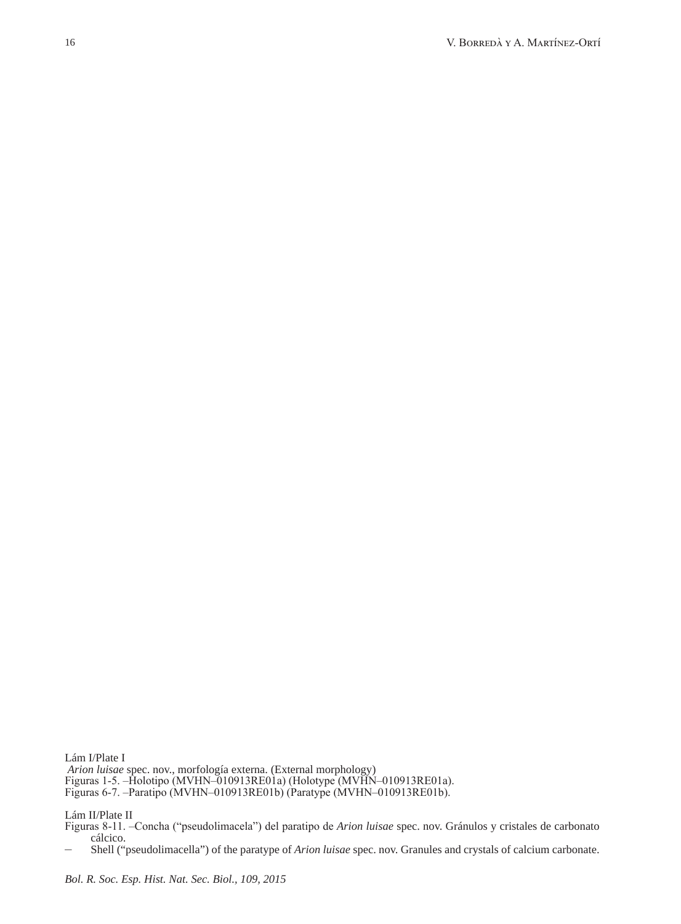Lám I/Plate I *Arion luisae* spec. nov., morfología externa. (External morphology) Figuras 1-5. –Holotipo (MVHN–010913RE01a) (Holotype (MVHN–010913RE01a). Figuras 6-7. –Paratipo (MVHN–010913RE01b) (Paratype (MVHN–010913RE01b).

Lám II/Plate II

Figuras 8-11. –Concha ("pseudolimacela") del paratipo de *Arion luisae* spec. nov. Gránulos y cristales de carbonato cálcico.

– Shell ("pseudolimacella") of the paratype of *Arion luisae* spec. nov. Granules and crystals of calcium carbonate.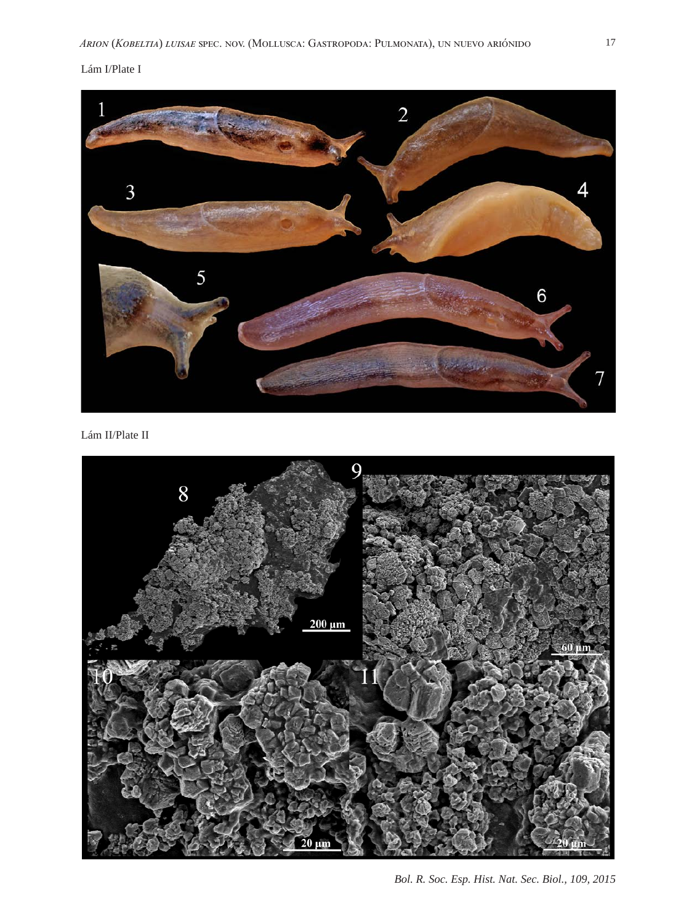## Lám I/Plate I



Lám II/Plate II



*Bol. R. Soc. Esp. Hist. Nat. Sec. Biol., 109, 2015*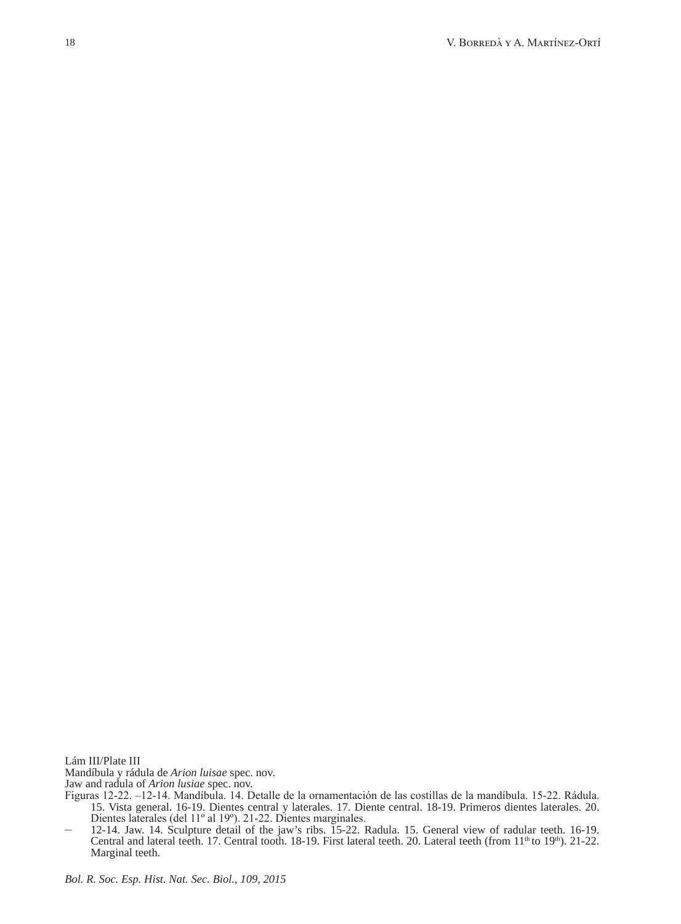Lám III/Plate III Mandíbula y rádula de *Arion luisae* spec. nov. Jaw and radula of *Arion lusiae* spec. nov.

Figuras 12-22. –12-14. Mandíbula. 14. Detalle de la ornamentación de las costillas de la mandíbula. 15-22. Rádula. 15. Vista general. 16-19. Dientes central y laterales. 17. Diente central. 18-19. Primeros dientes laterales. 20. Dientes laterales (del 11º al 19º). 21-22. Dientes marginales.

<sup>–</sup> 12-14. Jaw. 14. Sculpture detail of the jaw's ribs. 15-22. Radula. 15. General view of radular teeth. 16-19. Central and lateral teeth. 17. Central tooth. 18-19. First lateral teeth. 20. Lateral teeth (from 11<sup>th</sup> to 19<sup>th</sup>). 21-22. Marginal teeth.